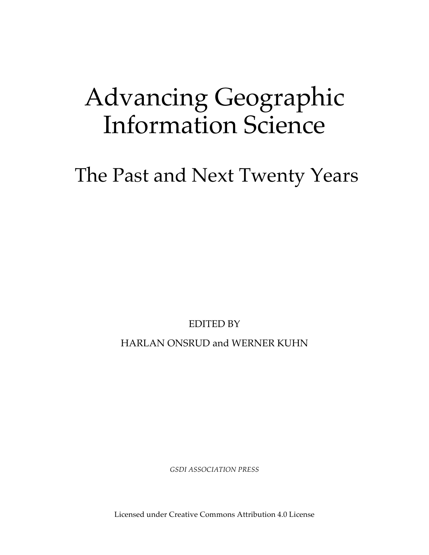# Advancing Geographic Information Science

## The Past and Next Twenty Years

EDITED BY

HARLAN ONSRUD and WERNER KUHN

*GSDI ASSOCIATION PRESS*

Licensed under Creative Commons Attribution 4.0 License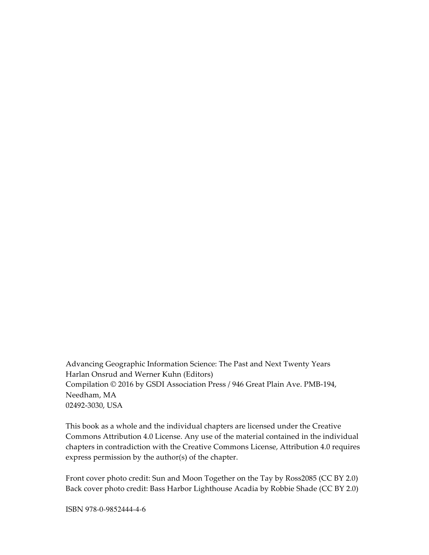Advancing Geographic Information Science: The Past and Next Twenty Years Harlan Onsrud and Werner Kuhn (Editors) Compilation © 2016 by GSDI Association Press / 946 Great Plain Ave. PMB-194, Needham, MA 02492-3030, USA

This book as a whole and the individual chapters are licensed under the Creative Commons Attribution 4.0 License. Any use of the material contained in the individual chapters in contradiction with the Creative Commons License, Attribution 4.0 requires express permission by the author(s) of the chapter.

Front cover photo credit: Sun and Moon Together on the Tay by Ross2085 (CC BY 2.0) Back cover photo credit: Bass Harbor Lighthouse Acadia by Robbie Shade (CC BY 2.0)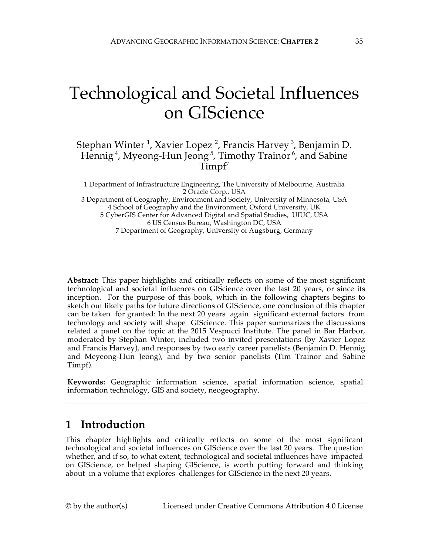### Technological and Societal Influences on GIScience

#### Stephan Winter <sup>1</sup>, Xavier Lopez <sup>2</sup>, Francis Harvey <sup>3</sup>, Benjamin D. Hennig<sup>4</sup>, Myeong-Hun Jeong<sup>5</sup>, Timothy Trainor<sup>6</sup>, and Sabine  $T$ impf<sup> $\prime$ </sup>

1 Department of Infrastructure Engineering, The University of Melbourne, Australia 2 Oracle Corp., USA 3 Department of Geography, Environment and Society, University of Minnesota, USA 4 School of Geography and the Environment, Oxford University, UK 5 CyberGIS Center for Advanced Digital and Spatial Studies, UIUC, USA 6 US Census Bureau, Washington DC, USA 7 Department of Geography, University of Augsburg, Germany

**Abstract:** This paper highlights and critically reflects on some of the most significant technological and societal influences on GIScience over the last 20 years, or since its inception. For the purpose of this book, which in the following chapters begins to sketch out likely paths for future directions of GIScience, one conclusion of this chapter can be taken for granted: In the next 20 years again significant external factors from technology and society will shape GIScience. This paper summarizes the discussions related a panel on the topic at the 2015 Vespucci Institute. The panel in Bar Harbor, moderated by Stephan Winter, included two invited presentations (by Xavier Lopez and Francis Harvey), and responses by two early career panelists (Benjamin D. Hennig and Meyeong-Hun Jeong), and by two senior panelists (Tim Trainor and Sabine Timpf).

**Keywords:** Geographic information science, spatial information science, spatial information technology, GIS and society, neogeography.

#### **1 Introduction**

This chapter highlights and critically reflects on some of the most significant technological and societal influences on GIScience over the last 20 years. The question whether, and if so, to what extent, technological and societal influences have impacted on GIScience, or helped shaping GIScience, is worth putting forward and thinking about in a volume that explores challenges for GIScience in the next 20 years.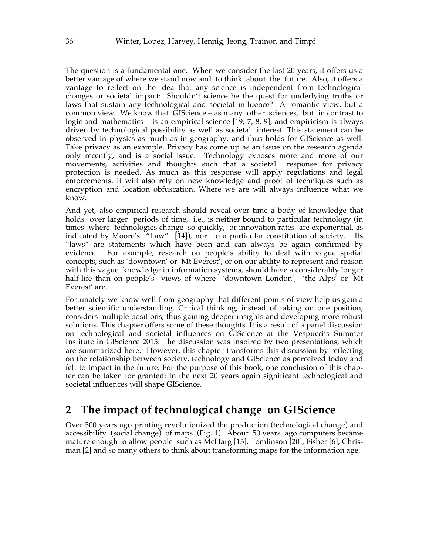The question is a fundamental one. When we consider the last 20 years, it offers us a better vantage of where we stand now and to think about the future. Also, it offers a vantage to reflect on the idea that any science is independent from technological changes or societal impact: Shouldn't science be the quest for underlying truths or laws that sustain any technological and societal influence? A romantic view, but a common view. We know that GIScience – as many other sciences, but in contrast to logic and mathematics – is an empirical science  $[19, 7, 8, 9]$ , and empiricism is always driven by technological possibility as well as societal interest. This statement can be observed in physics as much as in geography, and thus holds for GIScience as well. Take privacy as an example. Privacy has come up as an issue on the research agenda only recently, and is a social issue: Technology exposes more and more of our movements, activities and thoughts such that a societal response for privacy protection is needed. As much as this response will apply regulations and legal enforcements, it will also rely on new knowledge and proof of techniques such as encryption and location obfuscation. Where we are will always influence what we know.

And yet, also empirical research should reveal over time a body of knowledge that holds over larger periods of time, i.e., is neither bound to particular technology (in times where technologies change so quickly, or innovation rates are exponential, as indicated by Moore's "Law" [14]), nor to a particular constitution of society. Its "laws" are statements which have been and can always be again confirmed by evidence. For example, research on people's ability to deal with vague spatial concepts, such as 'downtown' or 'Mt Everest', or on our ability to represent and reason with this vague knowledge in information systems, should have a considerably longer half-life than on people's views of where 'downtown London', 'the Alps' or 'Mt Everest' are.

Fortunately we know well from geography that different points of view help us gain a better scientific understanding. Critical thinking, instead of taking on one position, considers multiple positions, thus gaining deeper insights and developing more robust solutions. This chapter offers some of these thoughts. It is a result of a panel discussion on technological and societal influences on GIScience at the Vespucci's Summer Institute in GIScience 2015. The discussion was inspired by two presentations, which are summarized here. However, this chapter transforms this discussion by reflecting on the relationship between society, technology and GIScience as perceived today and felt to impact in the future. For the purpose of this book, one conclusion of this chapter can be taken for granted: In the next 20 years again significant technological and societal influences will shape GIScience.

#### **2 The impact of technological change on GIScience**

Over 500 years ago printing revolutionized the production (technological change) and accessibility (social change) of maps (Fig. 1). About 50 years ago computers became mature enough to allow people such as McHarg [13], Tomlinson [20], Fisher [6], Chrisman [2] and so many others to think about transforming maps for the information age.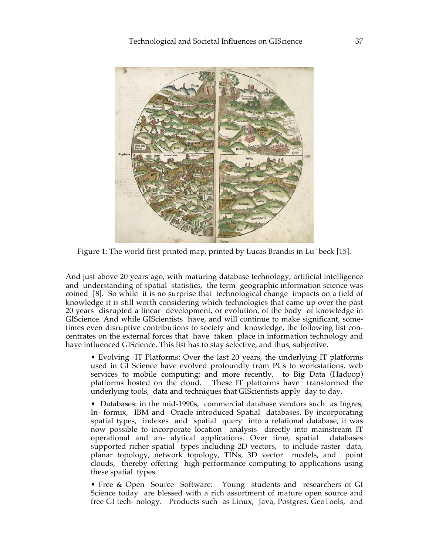

Figure 1: The world first printed map, printed by Lucas Brandis in Lu¨ beck [15].

And just above 20 years ago, with maturing database technology, artificial intelligence and understanding of spatial statistics, the term geographic information science was coined [8]. So while it is no surprise that technological change impacts on a field of knowledge it is still worth considering which technologies that came up over the past 20 years disrupted a linear development, or evolution, of the body of knowledge in GIScience. And while GIScientists have, and will continue to make significant, sometimes even disruptive contributions to society and knowledge, the following list concentrates on the external forces that have taken place in information technology and have influenced GIScience. This list has to stay selective, and thus, subjective.

• Evolving IT Platforms: Over the last 20 years, the underlying IT platforms used in GI Science have evolved profoundly from PCs to workstations, web services to mobile computing; and more recently, to Big Data (Hadoop) platforms hosted on the cloud. These IT platforms have transformed the underlying tools, data and techniques that GIScientists apply day to day.

• Databases: in the mid-1990s, commercial database vendors such as Ingres, In- formix, IBM and Oracle introduced Spatial databases. By incorporating spatial types, indexes and spatial query into a relational database, it was now possible to incorporate location analysis directly into mainstream IT operational and an- alytical applications. Over time, spatial databases supported richer spatial types including 2D vectors, to include raster data, planar topology, network topology, TINs, 3D vector models, and point clouds, thereby offering high-performance computing to applications using these spatial types.

• Free & Open Source Software: Young students and researchers of GI Science today are blessed with a rich assortment of mature open source and free GI tech- nology. Products such as Linux, Java, Postgres, GeoTools, and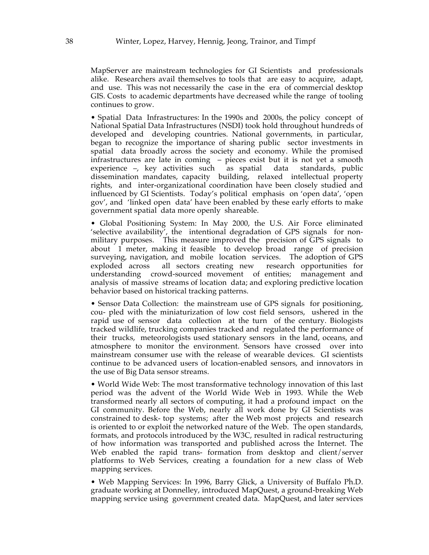MapServer are mainstream technologies for GI Scientists and professionals alike. Researchers avail themselves to tools that are easy to acquire, adapt, and use. This was not necessarily the case in the era of commercial desktop GIS. Costs to academic departments have decreased while the range of tooling continues to grow.

• Spatial Data Infrastructures: In the 1990s and 2000s, the policy concept of National Spatial Data Infrastructures (NSDI) took hold throughout hundreds of developed and developing countries. National governments, in particular, began to recognize the importance of sharing public sector investments in spatial data broadly across the society and economy. While the promised infrastructures are late in coming – pieces exist but it is not yet a smooth experience –, key activities such as spatial data standards, public dissemination mandates, capacity building, relaxed intellectual property rights, and inter-organizational coordination have been closely studied and influenced by GI Scientists. Today's political emphasis on 'open data', 'open gov', and 'linked open data' have been enabled by these early efforts to make government spatial data more openly shareable.

• Global Positioning System: In May 2000, the U.S. Air Force eliminated 'selective availability', the intentional degradation of GPS signals for nonmilitary purposes. This measure improved the precision of GPS signals to about 1 meter, making it feasible to develop broad range of precision surveying, navigation, and mobile location services. The adoption of GPS exploded across all sectors creating new research opportunities for understanding crowd-sourced movement of entities; management and analysis of massive streams of location data; and exploring predictive location behavior based on historical tracking patterns.

• Sensor Data Collection: the mainstream use of GPS signals for positioning, cou- pled with the miniaturization of low cost field sensors, ushered in the rapid use of sensor data collection at the turn of the century. Biologists tracked wildlife, trucking companies tracked and regulated the performance of their trucks, meteorologists used stationary sensors in the land, oceans, and atmosphere to monitor the environment. Sensors have crossed over into mainstream consumer use with the release of wearable devices. GI scientists continue to be advanced users of location-enabled sensors, and innovators in the use of Big Data sensor streams.

• World Wide Web: The most transformative technology innovation of this last period was the advent of the World Wide Web in 1993. While the Web transformed nearly all sectors of computing, it had a profound impact on the GI community. Before the Web, nearly all work done by GI Scientists was constrained to desk- top systems; after the Web most projects and research is oriented to or exploit the networked nature of the Web. The open standards, formats, and protocols introduced by the W3C, resulted in radical restructuring of how information was transported and published across the Internet. The Web enabled the rapid trans- formation from desktop and client/server platforms to Web Services, creating a foundation for a new class of Web mapping services.

• Web Mapping Services: In 1996, Barry Glick, a University of Buffalo Ph.D. graduate working at Donnelley, introduced MapQuest, a ground-breaking Web mapping service using government created data. MapQuest, and later services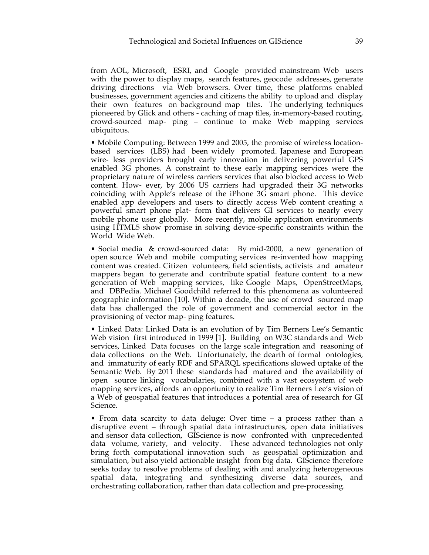from AOL, Microsoft, ESRI, and Google provided mainstream Web users with the power to display maps, search features, geocode addresses, generate driving directions via Web browsers. Over time, these platforms enabled businesses, government agencies and citizens the ability to upload and display their own features on background map tiles. The underlying techniques pioneered by Glick and others - caching of map tiles, in-memory-based routing, crowd-sourced map- ping – continue to make Web mapping services ubiquitous.

• Mobile Computing: Between 1999 and 2005, the promise of wireless locationbased services (LBS) had been widely promoted. Japanese and European wire- less providers brought early innovation in delivering powerful GPS enabled 3G phones. A constraint to these early mapping services were the proprietary nature of wireless carriers services that also blocked access to Web content. How- ever, by 2006 US carriers had upgraded their 3G networks coinciding with Apple's release of the iPhone 3G smart phone. This device enabled app developers and users to directly access Web content creating a powerful smart phone plat- form that delivers GI services to nearly every mobile phone user globally. More recently, mobile application environments using HTML5 show promise in solving device-specific constraints within the World Wide Web.

• Social media & crowd-sourced data: By mid-2000, a new generation of open source Web and mobile computing services re-invented how mapping content was created. Citizen volunteers, field scientists, activists and amateur mappers began to generate and contribute spatial feature content to a new generation of Web mapping services, like Google Maps, OpenStreetMaps, and DBPedia. Michael Goodchild referred to this phenomena as volunteered geographic information [10]. Within a decade, the use of crowd sourced map data has challenged the role of government and commercial sector in the provisioning of vector map- ping features.

• Linked Data: Linked Data is an evolution of by Tim Berners Lee's Semantic Web vision first introduced in 1999 [1]. Building on W3C standards and Web services, Linked Data focuses on the large scale integration and reasoning of data collections on the Web. Unfortunately, the dearth of formal ontologies, and immaturity of early RDF and SPARQL specifications slowed uptake of the Semantic Web. By 2011 these standards had matured and the availability of open source linking vocabularies, combined with a vast ecosystem of web mapping services, affords an opportunity to realize Tim Berners Lee's vision of a Web of geospatial features that introduces a potential area of research for GI Science.

• From data scarcity to data deluge: Over time – a process rather than a disruptive event – through spatial data infrastructures, open data initiatives and sensor data collection, GIScience is now confronted with unprecedented data volume, variety, and velocity. These advanced technologies not only bring forth computational innovation such as geospatial optimization and simulation, but also yield actionable insight from big data. GIScience therefore seeks today to resolve problems of dealing with and analyzing heterogeneous spatial data, integrating and synthesizing diverse data sources, and orchestrating collaboration, rather than data collection and pre-processing.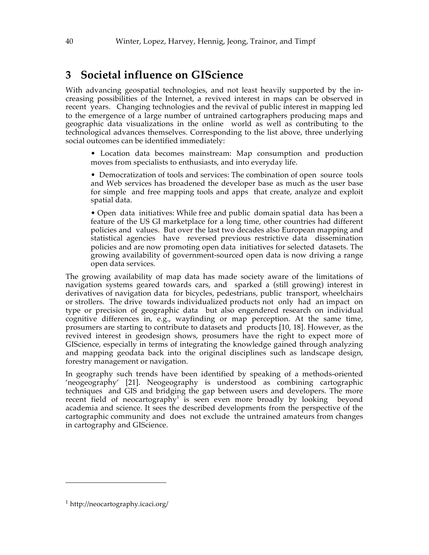#### **3 Societal influence on GIScience**

With advancing geospatial technologies, and not least heavily supported by the increasing possibilities of the Internet, a revived interest in maps can be observed in recent years. Changing technologies and the revival of public interest in mapping led to the emergence of a large number of untrained cartographers producing maps and geographic data visualizations in the online world as well as contributing to the technological advances themselves. Corresponding to the list above, three underlying social outcomes can be identified immediately:

• Location data becomes mainstream: Map consumption and production moves from specialists to enthusiasts, and into everyday life.

• Democratization of tools and services: The combination of open source tools and Web services has broadened the developer base as much as the user base for simple and free mapping tools and apps that create, analyze and exploit spatial data.

• Open data initiatives: While free and public domain spatial data has been a feature of the US GI marketplace for a long time, other countries had different policies and values. But over the last two decades also European mapping and statistical agencies have reversed previous restrictive data dissemination policies and are now promoting open data initiatives for selected datasets. The growing availability of government-sourced open data is now driving a range open data services.

The growing availability of map data has made society aware of the limitations of navigation systems geared towards cars, and sparked a (still growing) interest in derivatives of navigation data for bicycles, pedestrians, public transport, wheelchairs or strollers. The drive towards individualized products not only had an impact on type or precision of geographic data but also engendered research on individual cognitive differences in, e.g., wayfinding or map perception. At the same time, prosumers are starting to contribute to datasets and products [10, 18]. However, as the revived interest in geodesign shows, prosumers have the right to expect more of GIScience, especially in terms of integrating the knowledge gained through analyzing and mapping geodata back into the original disciplines such as landscape design, forestry management or navigation.

In geography such trends have been identified by speaking of a methods-oriented 'neogeography' [21]. Neogeography is understood as combining cartographic techniques and GIS and bridging the gap between users and developers. The more recent field of neocartography<sup>1</sup> is seen even more broadly by looking beyond academia and science. It sees the described developments from the perspective of the cartographic community and does not exclude the untrained amateurs from changes in cartography and GIScience.

 $\overline{a}$ 

<sup>1</sup> http://neocartography.icaci.org/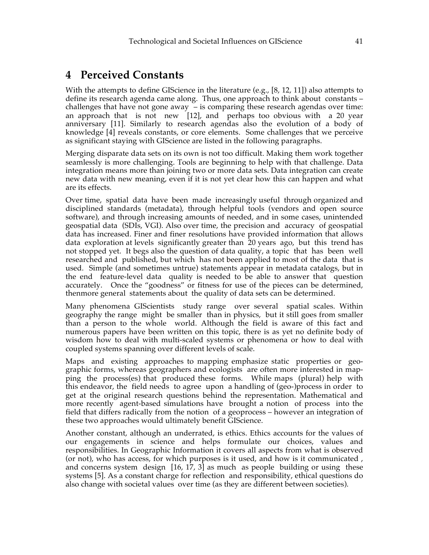#### **4 Perceived Constants**

With the attempts to define GIScience in the literature (e.g., [8, 12, 11]) also attempts to define its research agenda came along. Thus, one approach to think about constants – challenges that have not gone away – is comparing these research agendas over time: an approach that is not new [12], and perhaps too obvious with a 20 year anniversary [11]. Similarly to research agendas also the evolution of a body of knowledge [4] reveals constants, or core elements. Some challenges that we perceive as significant staying with GIScience are listed in the following paragraphs.

Merging disparate data sets on its own is not too difficult. Making them work together seamlessly is more challenging. Tools are beginning to help with that challenge. Data integration means more than joining two or more data sets. Data integration can create new data with new meaning, even if it is not yet clear how this can happen and what are its effects.

Over time, spatial data have been made increasingly useful through organized and disciplined standards (metadata), through helpful tools (vendors and open source software), and through increasing amounts of needed, and in some cases, unintended geospatial data (SDIs, VGI). Also over time, the precision and accuracy of geospatial data has increased. Finer and finer resolutions have provided information that allows data exploration at levels significantly greater than 20 years ago, but this trend has not stopped yet. It begs also the question of data quality, a topic that has been well researched and published, but which has not been applied to most of the data that is used. Simple (and sometimes untrue) statements appear in metadata catalogs, but in the end feature-level data quality is needed to be able to answer that question accurately. Once the "goodness" or fitness for use of the pieces can be determined, thenmore general statements about the quality of data sets can be determined.

Many phenomena GIScientists study range over several spatial scales. Within geography the range might be smaller than in physics, but it still goes from smaller than a person to the whole world. Although the field is aware of this fact and numerous papers have been written on this topic, there is as yet no definite body of wisdom how to deal with multi-scaled systems or phenomena or how to deal with coupled systems spanning over different levels of scale.

Maps and existing approaches to mapping emphasize static properties or geographic forms, whereas geographers and ecologists are often more interested in mapping the process(es) that produced these forms. While maps (plural) help with this endeavor, the field needs to agree upon a handling of (geo-)process in order to get at the original research questions behind the representation. Mathematical and more recently agent-based simulations have brought a notion of process into the field that differs radically from the notion of a geoprocess – however an integration of these two approaches would ultimately benefit GIScience.

Another constant, although an underrated, is ethics. Ethics accounts for the values of our engagements in science and helps formulate our choices, values and responsibilities. In Geographic Information it covers all aspects from what is observed (or not), who has access, for which purposes is it used, and how is it communicated , and concerns system design [16, 17, 3] as much as people building or using these systems [5]. As a constant charge for reflection and responsibility, ethical questions do also change with societal values over time (as they are different between societies).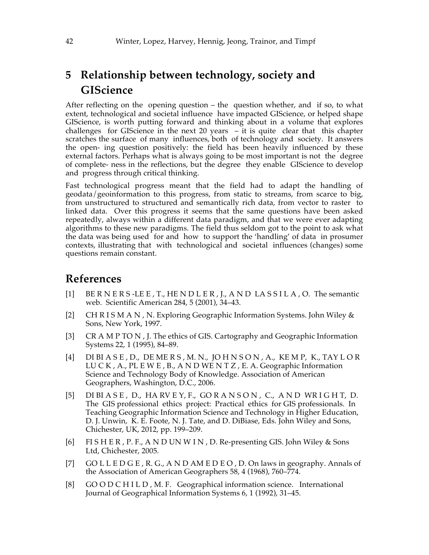#### **5 Relationship between technology, society and GIScience**

After reflecting on the opening question – the question whether, and if so, to what extent, technological and societal influence have impacted GIScience, or helped shape GIScience, is worth putting forward and thinking about in a volume that explores challenges for GIScience in the next  $20$  years  $-$  it is quite clear that this chapter scratches the surface of many influences, both of technology and society. It answers the open- ing question positively: the field has been heavily influenced by these external factors. Perhaps what is always going to be most important is not the degree of complete- ness in the reflections, but the degree they enable GIScience to develop and progress through critical thinking.

Fast technological progress meant that the field had to adapt the handling of geodata/geoinformation to this progress, from static to streams, from scarce to big, from unstructured to structured and semantically rich data, from vector to raster to linked data. Over this progress it seems that the same questions have been asked repeatedly, always within a different data paradigm, and that we were ever adapting algorithms to these new paradigms. The field thus seldom got to the point to ask what the data was being used for and how to support the 'handling' of data in prosumer contexts, illustrating that with technological and societal influences (changes) some questions remain constant.

#### **References**

- [1] BE R N E R S -LE E , T., HE N D L E R , J., A N D LA S S I L A , O. The semantic web. Scientific American 284, 5 (2001), 34–43.
- [2] CH R I S M A N , N. Exploring Geographic Information Systems. John Wiley & Sons, New York, 1997.
- [3] CR A M P TO N , J. The ethics of GIS. Cartography and Geographic Information Systems 22, 1 (1995), 84–89.
- [4] DI BI A S E , D., DE ME R S , M. N., JO H N S O N , A., KE M P, K., TAY L O R LU C K , A., PL E W E , B., A N D WE N T Z , E. A. Geographic Information Science and Technology Body of Knowledge. Association of American Geographers, Washington, D.C., 2006.
- [5] DIBIASE, D., HARVEY, F., GORANSON, C., AND WRIGHT, D. The GIS professional ethics project: Practical ethics for GIS professionals. In Teaching Geographic Information Science and Technology in Higher Education, D. J. Unwin, K. E. Foote, N. J. Tate, and D. DiBiase, Eds. John Wiley and Sons, Chichester, UK, 2012, pp. 199–209.
- [6] FI S H E R , P. F., A N D UN W I N , D. Re-presenting GIS. John Wiley & Sons Ltd, Chichester, 2005.
- [7] GO L L E D G E , R. G., A N D AM E D E O , D. On laws in geography. Annals of the Association of American Geographers 58, 4 (1968), 760–774.
- [8] GOOD CHILD, M.F. Geographical information science. International Journal of Geographical Information Systems 6, 1 (1992), 31–45.